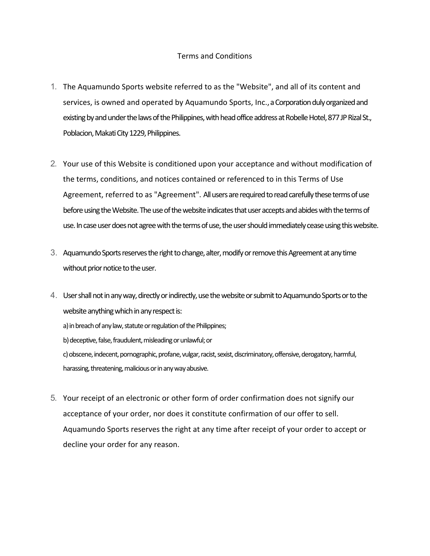## Terms and Conditions

- 1. The Aquamundo Sports website referred to as the "Website", and all of its content and services, is owned and operated by Aquamundo Sports, Inc., a Corporation duly organized and existing by and under the laws of the Philippines, with head office address at Robelle Hotel, 877 JP Rizal St., Poblacion, Makati City 1229, Philippines.
- 2. Your use of this Website is conditioned upon your acceptance and without modification of the terms, conditions, and notices contained or referenced to in this Terms of Use Agreement, referred to as "Agreement". All users are required to read carefully these terms of use before using the Website. The use of the website indicates that user accepts and abides with the terms of use. In case user does not agree with the terms of use, the user should immediately cease using this website.
- 3. Aquamundo Sports reserves the right to change, alter, modify or remove this Agreement at any time without prior notice to the user.
- 4. User shall not in any way, directly or indirectly, use the website or submit to Aquamundo Sports or to the website anything which in any respect is: a) in breach of any law, statute or regulation of the Philippines; b) deceptive, false, fraudulent, misleading or unlawful; or c) obscene, indecent, pornographic, profane, vulgar, racist, sexist, discriminatory, offensive, derogatory, harmful, harassing, threatening, malicious or in any way abusive.
- 5. Your receipt of an electronic or other form of order confirmation does not signify our acceptance of your order, nor does it constitute confirmation of our offer to sell. Aquamundo Sports reserves the right at any time after receipt of your order to accept or decline your order for any reason.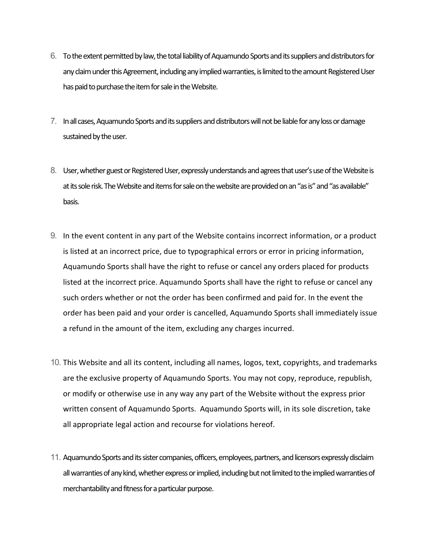- 6. To the extent permitted by law, the total liability of Aquamundo Sports and its suppliers and distributors for any claim under this Agreement, including any implied warranties, is limited to the amount Registered User has paid to purchase the item for sale in the Website.
- 7. In all cases, Aquamundo Sports and its suppliers and distributors will not be liable for any loss or damage sustained by the user.
- 8. User, whether guest or Registered User, expressly understands and agrees that user's use of the Website is at its sole risk. The Website and items for sale on the website are provided on an "as is" and "as available" basis.
- 9. In the event content in any part of the Website contains incorrect information, or a product is listed at an incorrect price, due to typographical errors or error in pricing information, Aquamundo Sports shall have the right to refuse or cancel any orders placed for products listed at the incorrect price. Aquamundo Sports shall have the right to refuse or cancel any such orders whether or not the order has been confirmed and paid for. In the event the order has been paid and your order is cancelled, Aquamundo Sports shall immediately issue a refund in the amount of the item, excluding any charges incurred.
- 10. This Website and all its content, including all names, logos, text, copyrights, and trademarks are the exclusive property of Aquamundo Sports. You may not copy, reproduce, republish, or modify or otherwise use in any way any part of the Website without the express prior written consent of Aquamundo Sports. Aquamundo Sports will, in its sole discretion, take all appropriate legal action and recourse for violations hereof.
- 11. Aquamundo Sports and its sister companies, officers, employees, partners, and licensors expressly disclaim all warranties of any kind, whether express or implied, including but not limited to the implied warranties of merchantability and fitness for a particular purpose.